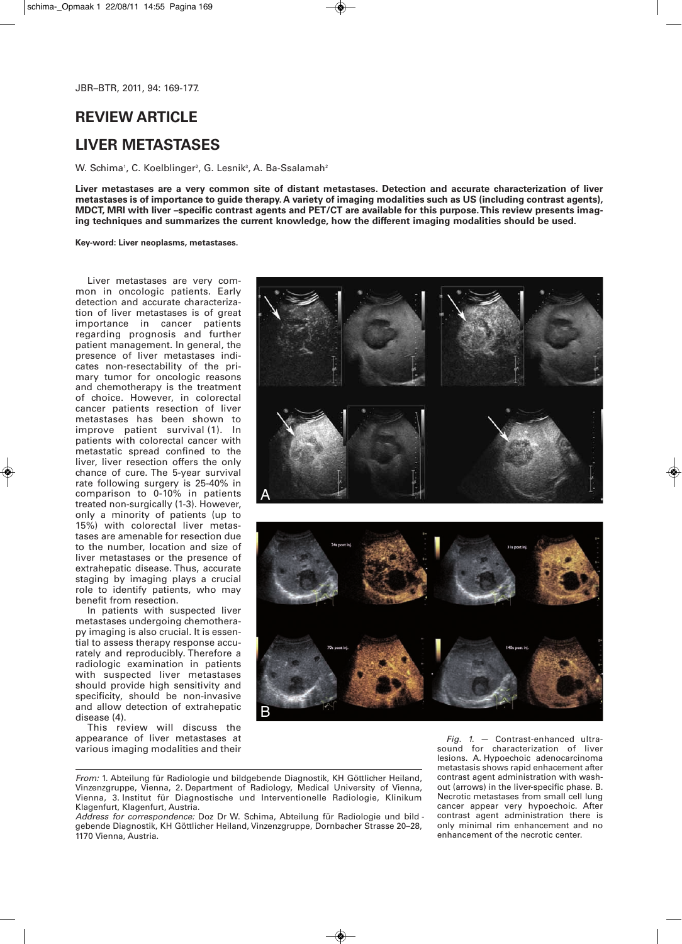# **REVIEW ARTICLE**

# **LIVER METASTASES**

W. Schima', C. Koelblinger², G. Lesnik¾, A. Ba-Ssalamah<del>'</del>

**Liver metastases are a very common site of distant metastases. Detection and accurate characterization of liver metastases is of importance to guide therapy. A variety of imaging modalities such as US (including contrast agents), MDCT, MRI with liver –specific contrast agents and PET/CT are available for this purpose. This review presents imaging techniques and summarizes the current knowledge, how the different imaging modalities should be used.**

**Key-word: Liver neoplasms, metastases.**

Liver metastases are very common in oncologic patients. Early detection and accurate characterization of liver metastases is of great importance in cancer patients regarding prognosis and further patient management. In general, the presence of liver metastases indicates non-resectability of the primary tumor for oncologic reasons and chemotherapy is the treatment of choice. However, in colorectal cancer patients resection of liver metastases has been shown to improve patient survival (1). In patients with colorectal cancer with metastatic spread confined to the liver, liver resection offers the only chance of cure. The 5-year survival rate following surgery is 25-40% in comparison to 0-10% in patients treated non-surgically (1-3). However, only a minority of patients (up to 15%) with colorectal liver metastases are amenable for resection due to the number, location and size of liver metastases or the presence of extrahepatic disease. Thus, accurate staging by imaging plays a crucial role to identify patients, who may benefit from resection.

In patients with suspected liver metastases undergoing chemotherapy imaging is also crucial. It is essential to assess therapy response accurately and reproducibly. Therefore a radiologic examination in patients with suspected liver metastases should provide high sensitivity and specificity, should be non-invasive and allow detection of extrahepatic disease (4).

This review will discuss the appearance of liver metastases at various imaging modalities and their



*From:* 1. Abteilung für Radiologie und bildgebende Diagnostik, KH Göttlicher Heiland, Vinzenzgruppe, Vienna, 2. Department of Radiology, Medical University of Vienna, Vienna, 3. Institut für Diagnostische und Interventionelle Radiologie, Klinikum Klagenfurt, Klagenfurt, Austria.

*Address for correspondence:* Doz Dr W. Schima, Abteilung für Radiologie und bild gebende Diagnostik, KH Göttlicher Heiland, Vinzenzgruppe, Dornbacher Strasse 20–28, 1170 Vienna, Austria.

*Fig. 1.* — Contrast-enhanced ultrasound for characterization of liver lesions. A. Hypoechoic adenocarcinoma metastasis shows rapid enhacement after contrast agent administration with washout (arrows) in the liver-specific phase. B. Necrotic metastases from small cell lung cancer appear very hypoechoic. After contrast agent administration there is only minimal rim enhancement and no enhancement of the necrotic center.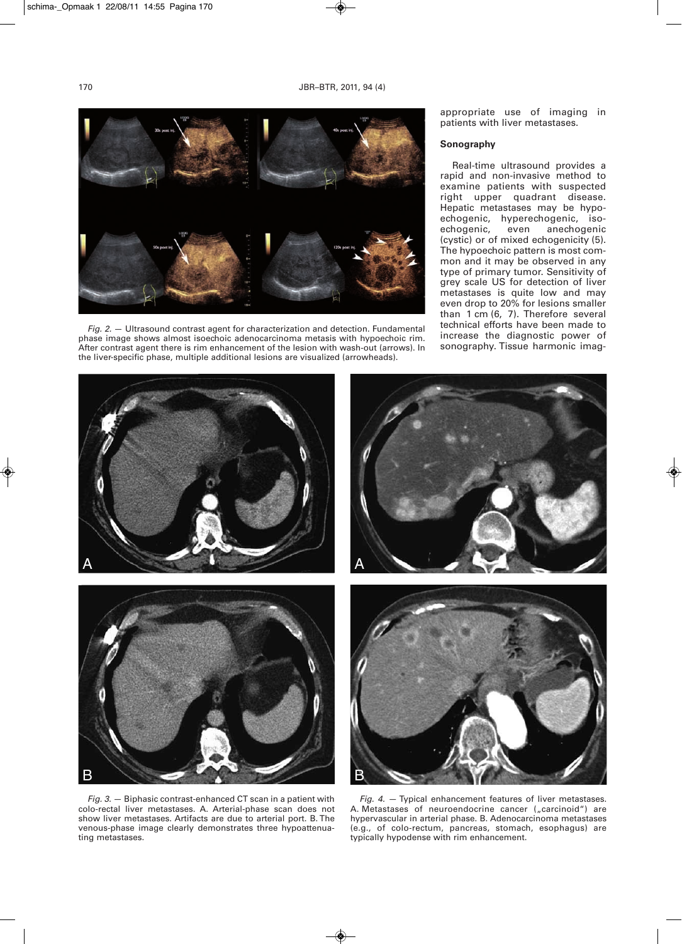

*Fig. 2.* — Ultrasound contrast agent for characterization and detection. Fundamental phase image shows almost isoechoic adenocarcinoma metasis with hypoechoic rim. After contrast agent there is rim enhancement of the lesion with wash-out (arrows). In the liver-specific phase, multiple additional lesions are visualized (arrowheads).

appropriate use of imaging in patients with liver metastases.

# **Sonography**

Real-time ultrasound provides a rapid and non-invasive method to examine patients with suspected right upper quadrant disease. Hepatic metastases may be hypoechogenic, hyperechogenic, isoechogenic, even anechogenic (cystic) or of mixed echogenicity (5). The hypoechoic pattern is most common and it may be observed in any type of primary tumor. Sensitivity of grey scale US for detection of liver metastases is quite low and may even drop to 20% for lesions smaller than 1 cm (6, 7). Therefore several technical efforts have been made to increase the diagnostic power of sonography. Tissue harmonic imag-



*Fig. 3.* — Biphasic contrast-enhanced CT scan in a patient with colo-rectal liver metastases. A. Arterial-phase scan does not show liver metastases. Artifacts are due to arterial port. B. The venous-phase image clearly demonstrates three hypoattenuating metastases.

*Fig. 4.* — Typical enhancement features of liver metastases. A. Metastases of neuroendocrine cancer ("carcinoid") are hypervascular in arterial phase. B. Adenocarcinoma metastases (e.g., of colo-rectum, pancreas, stomach, esophagus) are typically hypodense with rim enhancement.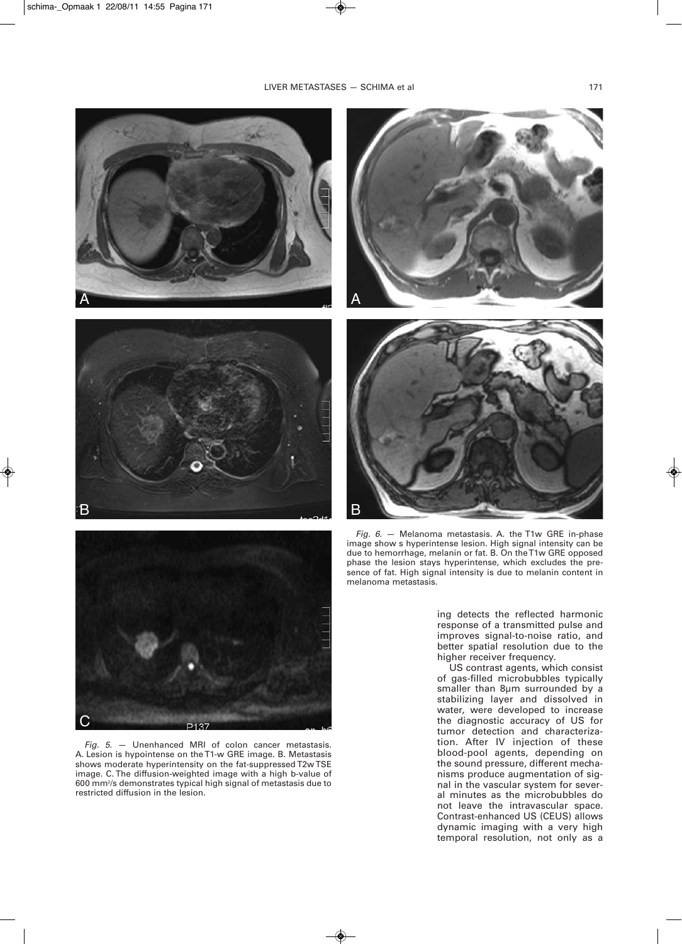# LIVER METASTASES - SCHIMA et al 171







*Fig. 5.* — Unenhanced MRI of colon cancer metastasis. A. Lesion is hypointense on the T1-w GRE image. B. Metastasis shows moderate hyperintensity on the fat-suppressed T2w TSE image. C. The diffusion-weighted image with a high b-value of 600 mm2 /s demonstrates typical high signal of metastasis due to restricted diffusion in the lesion.





*Fig. 6.* — Melanoma metastasis. A. the T1w GRE in-phase image show s hyperintense lesion. High signal intensity can be due to hemorrhage, melanin or fat. B. On the T1w GRE opposed phase the lesion stays hyperintense, which excludes the presence of fat. High signal intensity is due to melanin content in melanoma metastasis.

ing detects the reflected harmonic response of a transmitted pulse and improves signal-to-noise ratio, and better spatial resolution due to the higher receiver frequency.

US contrast agents, which consist of gas-filled microbubbles typically smaller than 8µm surrounded by a stabilizing layer and dissolved in water, were developed to increase the diagnostic accuracy of US for tumor detection and characterization. After IV injection of these blood-pool agents, depending on the sound pressure, different mechanisms produce augmentation of signal in the vascular system for several minutes as the microbubbles do not leave the intravascular space. Contrast-enhanced US (CEUS) allows dynamic imaging with a very high temporal resolution, not only as a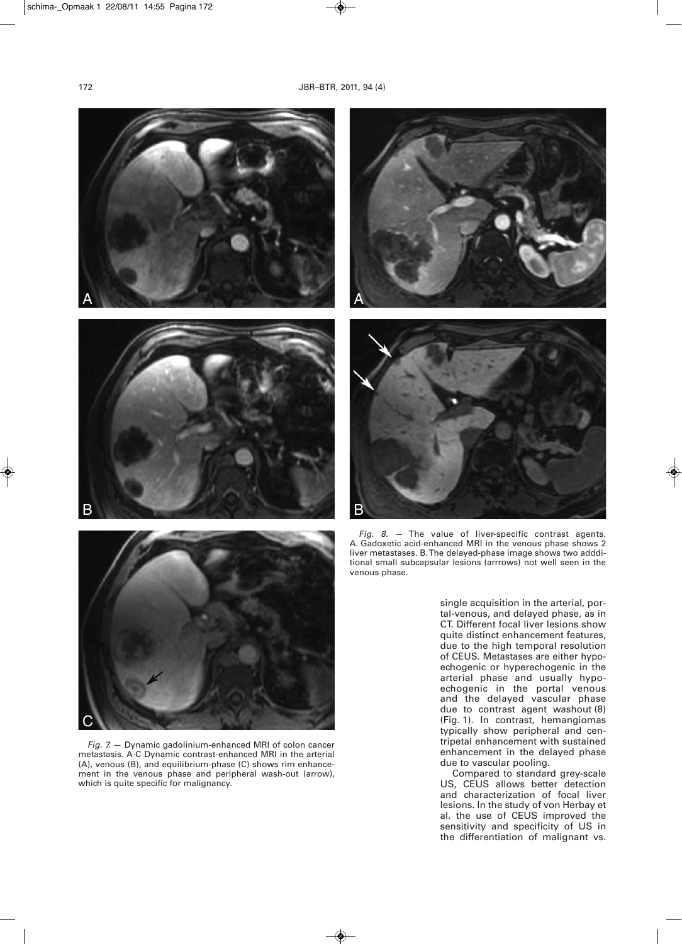





*Fig. 7.* — Dynamic gadolinium-enhanced MRI of colon cancer metastasis. A-C Dynamic contrast-enhanced MRI in the arterial (A), venous (B), and equilibrium-phase (C) shows rim enhancement in the venous phase and peripheral wash-out (arrow), which is quite specific for malignancy.





*Fig. 8.* — The value of liver-specific contrast agents. A. Gadoxetic acid-enhanced MRI in the venous phase shows 2 liver metastases. B. The delayed-phase image shows two addditional small subcapsular lesions (arrrows) not well seen in the venous phase.

single acquisition in the arterial, portal-venous, and delayed phase, as in CT. Different focal liver lesions show quite distinct enhancement features, due to the high temporal resolution of CEUS. Metastases are either hypoechogenic or hyperechogenic in the arterial phase and usually hypoechogenic in the portal venous and the delayed vascular phase due to contrast agent washout (8) (Fig. 1). In contrast, hemangiomas typically show peripheral and centripetal enhancement with sustained enhancement in the delayed phase due to vascular pooling.

Compared to standard grey-scale US, CEUS allows better detection and characterization of focal liver lesions. In the study of von Herbay et al. the use of CEUS improved the sensitivity and specificity of US in the differentiation of malignant vs.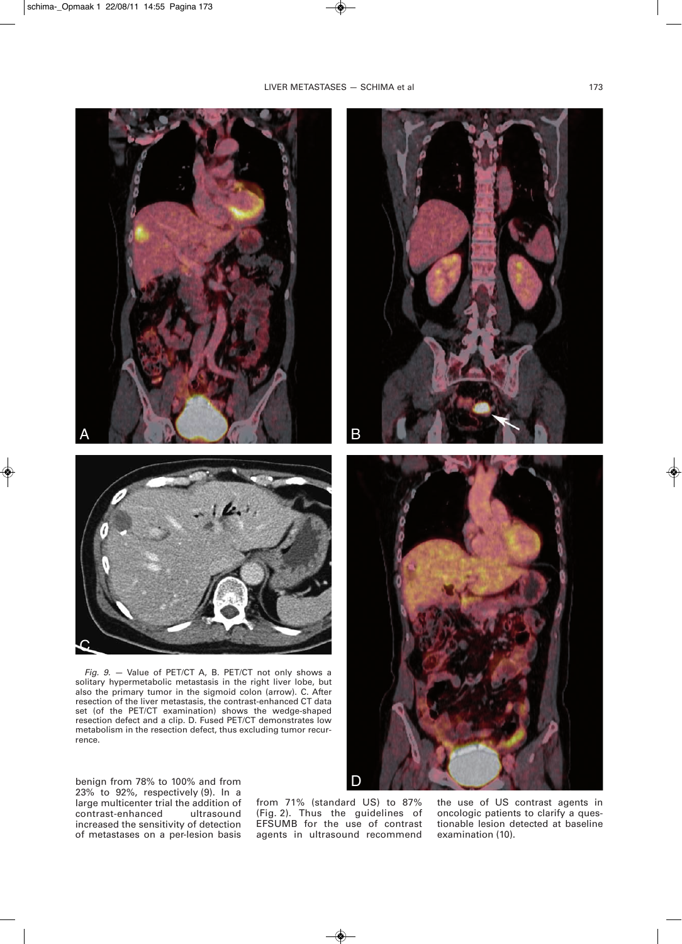# LIVER METASTASES - SCHIMA et al 173



*Fig. 9.* — Value of PET/CT A, B. PET/CT not only shows a solitary hypermetabolic metastasis in the right liver lobe, but also the primary tumor in the sigmoid colon (arrow). C. After resection of the liver metastasis, the contrast-enhanced CT data set (of the PET/CT examination) shows the wedge-shaped resection defect and a clip. D. Fused PET/CT demonstrates low metabolism in the resection defect, thus excluding tumor recurrence.

benign from 78% to 100% and from 23% to 92%, respectively (9). In a large multicenter trial the addition of<br>contrast-enhanced ultrasound  $contrast-enhanced$ increased the sensitivity of detection of metastases on a per-lesion basis

from 71% (standard US) to 87% (Fig. 2). Thus the guidelines of EFSUMB for the use of contrast agents in ultrasound recommend



the use of US contrast agents in oncologic patients to clarify a questionable lesion detected at baseline examination (10).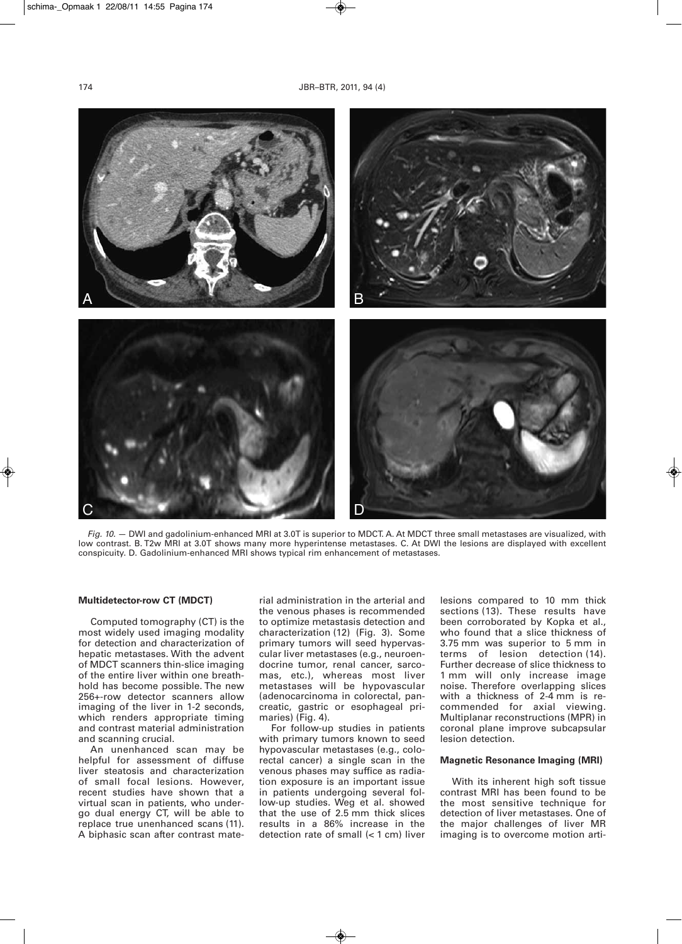

*Fig. 10.* — DWI and gadolinium-enhanced MRI at 3.0T is superior to MDCT. A. At MDCT three small metastases are visualized, with low contrast. B. T2w MRI at 3.0T shows many more hyperintense metastases. C. At DWI the lesions are displayed with excellent conspicuity. D. Gadolinium-enhanced MRI shows typical rim enhancement of metastases.

# **Multidetector-row CT (MDCT)**

Computed tomography (CT) is the most widely used imaging modality for detection and characterization of hepatic metastases. With the advent of MDCT scanners thin-slice imaging of the entire liver within one breathhold has become possible. The new 256+-row detector scanners allow imaging of the liver in 1-2 seconds, which renders appropriate timing and contrast material administration and scanning crucial.

An unenhanced scan may be helpful for assessment of diffuse liver steatosis and characterization of small focal lesions. However, recent studies have shown that a virtual scan in patients, who undergo dual energy CT, will be able to replace true unenhanced scans (11). A biphasic scan after contrast material administration in the arterial and the venous phases is recommended to optimize metastasis detection and characterization (12) (Fig. 3). Some primary tumors will seed hypervascular liver metastases (e.g., neuroendocrine tumor, renal cancer, sarcomas, etc.), whereas most liver metastases will be hypovascular (adenocarcinoma in colorectal, pancreatic, gastric or esophageal primaries) (Fig. 4).

For follow-up studies in patients with primary tumors known to seed hypovascular metastases (e.g., colorectal cancer) a single scan in the venous phases may suffice as radiation exposure is an important issue in patients undergoing several follow-up studies. Weg et al. showed that the use of 2.5 mm thick slices results in a 86% increase in the detection rate of small (< 1 cm) liver

lesions compared to 10 mm thick sections (13). These results have been corroborated by Kopka et al., who found that a slice thickness of 3.75 mm was superior to 5 mm in terms of lesion detection (14). Further decrease of slice thickness to 1 mm will only increase image noise. Therefore overlapping slices with a thickness of 2-4 mm is recommended for axial viewing. Multiplanar reconstructions (MPR) in coronal plane improve subcapsular lesion detection.

#### **Magnetic Resonance Imaging (MRI)**

With its inherent high soft tissue contrast MRI has been found to be the most sensitive technique for detection of liver metastases. One of the major challenges of liver MR imaging is to overcome motion arti-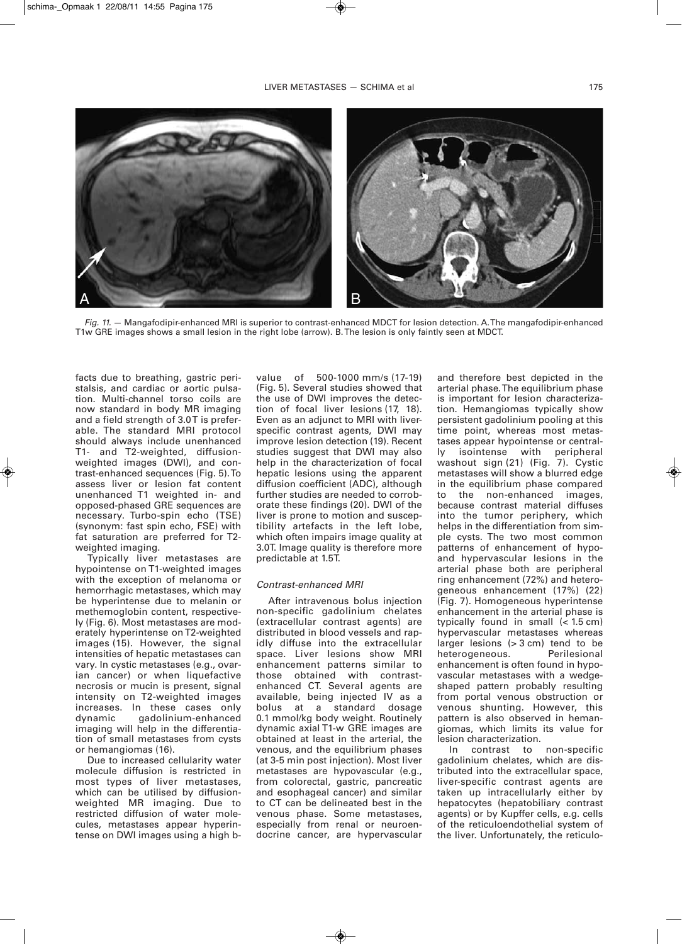

*Fig. 11.* — Mangafodipir-enhanced MRI is superior to contrast-enhanced MDCT for lesion detection. A. The mangafodipir-enhanced T1w GRE images shows a small lesion in the right lobe (arrow). B. The lesion is only faintly seen at MDCT.

facts due to breathing, gastric peristalsis, and cardiac or aortic pulsation. Multi-channel torso coils are now standard in body MR imaging and a field strength of 3.0T is preferable. The standard MRI protocol should always include unenhanced T1- and T2-weighted, diffusionweighted images (DWI), and contrast-enhanced sequences (Fig. 5). To assess liver or lesion fat content unenhanced T1 weighted in- and opposed-phased GRE sequences are necessary. Turbo-spin echo (TSE) (synonym: fast spin echo, FSE) with fat saturation are preferred for T2 weighted imaging.

Typically liver metastases are hypointense on T1-weighted images with the exception of melanoma or hemorrhagic metastases, which may be hyperintense due to melanin or methemoglobin content, respectively (Fig. 6). Most metastases are moderately hyperintense on T2-weighted images (15). However, the signal intensities of hepatic metastases can vary. In cystic metastases (e.g., ovarian cancer) or when liquefactive necrosis or mucin is present, signal intensity on T2-weighted images increases. In these cases only dynamic gadolinium-enhanced imaging will help in the differentiation of small metastases from cysts or hemangiomas (16).

Due to increased cellularity water molecule diffusion is restricted in most types of liver metastases, which can be utilised by diffusionweighted MR imaging. Due to restricted diffusion of water molecules, metastases appear hyperintense on DWI images using a high bvalue of 500-1000 mm/s (17-19) (Fig. 5). Several studies showed that the use of DWI improves the detection of focal liver lesions (17, 18). Even as an adjunct to MRI with liverspecific contrast agents, DWI may improve lesion detection (19). Recent studies suggest that DWI may also help in the characterization of focal hepatic lesions using the apparent diffusion coefficient (ADC), although further studies are needed to corroborate these findings (20). DWI of the liver is prone to motion and susceptibility artefacts in the left lobe, which often impairs image quality at 3.0T. Image quality is therefore more predictable at 1.5T.

#### *Contrast-enhanced MRI*

After intravenous bolus injection non-specific gadolinium chelates (extracellular contrast agents) are distributed in blood vessels and rapidly diffuse into the extracellular space. Liver lesions show MRI enhancement patterns similar to those obtained with contrastenhanced CT. Several agents are available, being injected IV as a bolus at a standard dosage 0.1 mmol/kg body weight. Routinely dynamic axial T1-w GRE images are obtained at least in the arterial, the venous, and the equilibrium phases (at 3-5 min post injection). Most liver metastases are hypovascular (e.g., from colorectal, gastric, pancreatic and esophageal cancer) and similar to CT can be delineated best in the venous phase. Some metastases, especially from renal or neuroendocrine cancer, are hypervascular

and therefore best depicted in the arterial phase. The equilibrium phase is important for lesion characterization. Hemangiomas typically show persistent gadolinium pooling at this time point, whereas most metastases appear hypointense or centrally isointense with peripheral washout sign (21) (Fig. 7). Cystic metastases will show a blurred edge in the equilibrium phase compared to the non-enhanced images, because contrast material diffuses into the tumor periphery, which helps in the differentiation from simple cysts. The two most common patterns of enhancement of hypoand hypervascular lesions in the arterial phase both are peripheral ring enhancement (72%) and heterogeneous enhancement (17%) (22) (Fig. 7). Homogeneous hyperintense enhancement in the arterial phase is typically found in small  $( $1.5 \text{ cm}$ )$ hypervascular metastases whereas larger lesions (> 3 cm) tend to be<br>heterogeneous. Perilesional heterogeneous. enhancement is often found in hypovascular metastases with a wedgeshaped pattern probably resulting from portal venous obstruction or venous shunting. However, this pattern is also observed in hemangiomas, which limits its value for lesion characterization.

In contrast to non-specific gadolinium chelates, which are distributed into the extracellular space, liver-specific contrast agents are taken up intracellularly either by hepatocytes (hepatobiliary contrast agents) or by Kupffer cells, e.g. cells of the reticuloendothelial system of the liver. Unfortunately, the reticulo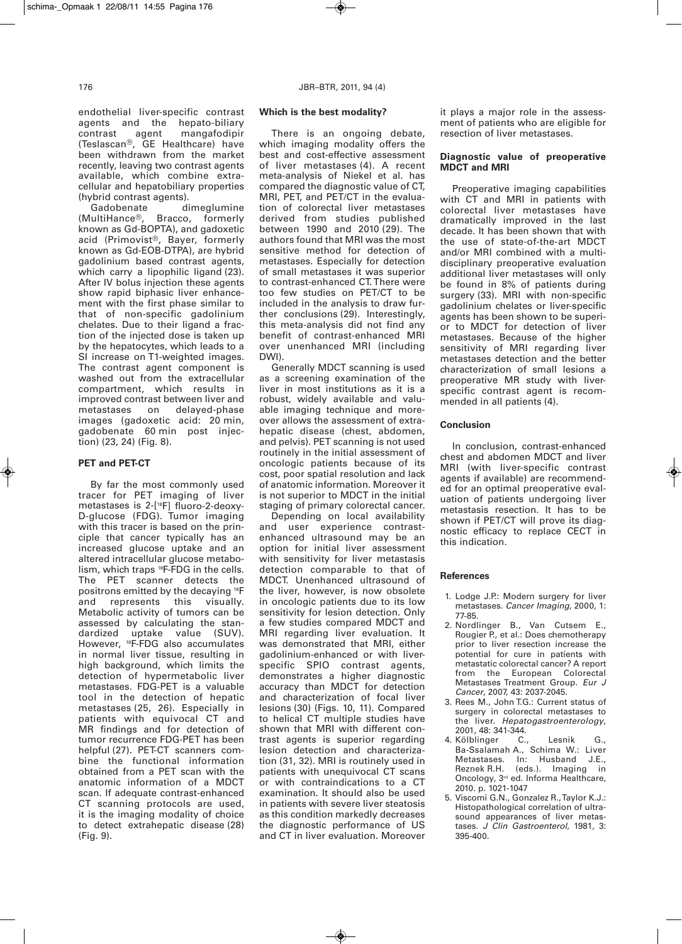endothelial liver-specific contrast agents and the hepato-biliary contrast agent mangafodipir (Teslascan®, GE Healthcare) have been withdrawn from the market recently, leaving two contrast agents available, which combine extracellular and hepatobiliary properties (hybrid contrast agents).<br>Gadobenate di

Gadobenate dimeglumine<br>(MultiHance®, Bracco, formerly Bracco, formerly known as Gd-BOPTA), and gadoxetic acid (Primovist®, Bayer, formerly known as Gd-EOB-DTPA), are hybrid gadolinium based contrast agents, which carry a lipophilic ligand (23). After IV bolus injection these agents show rapid biphasic liver enhancement with the first phase similar to that of non-specific gadolinium chelates. Due to their ligand a fraction of the injected dose is taken up by the hepatocytes, which leads to a SI increase on T1-weighted images. The contrast agent component is washed out from the extracellular compartment, which results in improved contrast between liver and metastases on delayed-phase images (gadoxetic acid: 20 min, gadobenate 60 min post injection) (23, 24) (Fig. 8).

# **PET and PET-CT**

By far the most commonly used tracer for PET imaging of liver metastases is 2-[18F] fluoro-2-deoxy-D-glucose (FDG). Tumor imaging with this tracer is based on the principle that cancer typically has an increased glucose uptake and an altered intracellular glucose metabolism, which traps 18F-FDG in the cells. The PET scanner detects the positrons emitted by the decaying 18F and represents this visually. Metabolic activity of tumors can be assessed by calculating the standardized uptake value (SUV). However, 18F-FDG also accumulates in normal liver tissue, resulting in high background, which limits the detection of hypermetabolic liver metastases. FDG-PET is a valuable tool in the detection of hepatic metastases (25, 26). Especially in patients with equivocal CT and MR findings and for detection of tumor recurrence FDG-PET has been helpful (27). PET-CT scanners combine the functional information obtained from a PET scan with the anatomic information of a MDCT scan. If adequate contrast-enhanced CT scanning protocols are used, it is the imaging modality of choice to detect extrahepatic disease (28) (Fig. 9).

# **Which is the best modality?**

There is an ongoing debate, which imaging modality offers the best and cost-effective assessment of liver metastases (4). A recent meta-analysis of Niekel et al. has compared the diagnostic value of CT, MRI, PET, and PET/CT in the evaluation of colorectal liver metastases derived from studies published between 1990 and 2010 (29). The authors found that MRI was the most sensitive method for detection of metastases. Especially for detection of small metastases it was superior to contrast-enhanced CT. There were too few studies on PET/CT to be included in the analysis to draw further conclusions (29). Interestingly, this meta-analysis did not find any benefit of contrast-enhanced MRI over unenhanced MRI (including DWI).

Generally MDCT scanning is used as a screening examination of the liver in most institutions as it is a robust, widely available and valuable imaging technique and moreover allows the assessment of extrahepatic disease (chest, abdomen, and pelvis). PET scanning is not used routinely in the initial assessment of oncologic patients because of its cost, poor spatial resolution and lack of anatomic information. Moreover it is not superior to MDCT in the initial staging of primary colorectal cancer.

Depending on local availability and user experience contrastenhanced ultrasound may be an option for initial liver assessment with sensitivity for liver metastasis detection comparable to that of MDCT. Unenhanced ultrasound of the liver, however, is now obsolete in oncologic patients due to its low sensitivity for lesion detection. Only a few studies compared MDCT and MRI regarding liver evaluation. It was demonstrated that MRI, either gadolinium-enhanced or with liverspecific SPIO contrast agents, demonstrates a higher diagnostic accuracy than MDCT for detection and characterization of focal liver lesions (30) (Figs. 10, 11). Compared to helical CT multiple studies have shown that MRI with different contrast agents is superior regarding lesion detection and characterization (31, 32). MRI is routinely used in patients with unequivocal CT scans or with contraindications to a CT examination. It should also be used in patients with severe liver steatosis as this condition markedly decreases the diagnostic performance of US and CT in liver evaluation. Moreover

it plays a major role in the assessment of patients who are eligible for resection of liver metastases.

### **Diagnostic value of preoperative MDCT and MRI**

Preoperative imaging capabilities with CT and MRI in patients with colorectal liver metastases have dramatically improved in the last decade. It has been shown that with the use of state-of-the-art MDCT and/or MRI combined with a multidisciplinary preoperative evaluation additional liver metastases will only be found in 8% of patients during surgery (33). MRI with non-specific gadolinium chelates or liver-specific agents has been shown to be superior to MDCT for detection of liver metastases. Because of the higher sensitivity of MRI regarding liver metastases detection and the better characterization of small lesions a preoperative MR study with liverspecific contrast agent is recommended in all patients (4).

# **Conclusion**

In conclusion, contrast-enhanced chest and abdomen MDCT and liver MRI (with liver-specific contrast agents if available) are recommended for an optimal preoperative evaluation of patients undergoing liver metastasis resection. It has to be shown if PET/CT will prove its diagnostic efficacy to replace CECT in this indication.

#### **References**

- 1. Lodge J.P.: Modern surgery for liver metastases. *Cancer Imaging*, 2000, 1: 77-85.
- 2. Nordlinger B., Van Cutsem E., Rougier P., et al.: Does chemotherapy prior to liver resection increase the potential for cure in patients with metastatic colorectal cancer? A report from the European Colorectal Metastases Treatment Group. *Eur J Cancer*, 2007, 43: 2037-2045.
- 3. Rees M., John T.G.: Current status of surgery in colorectal metastases to the liver. *Hepatogastroenterology*, 2001, 48: 341-344.<br>Kölblinger C.,
- 4. Kölblinger C., Lesnik G., Ba-Ssalamah A., Schima W.: Liver Metastases. In: Husband J.E., Reznek R.H. (eds.). Imaging in Oncology, 3<sup>rd</sup> ed. Informa Healthcare, 2010. p. 1021-1047
- 5. Viscomi G.N., Gonzalez R., Taylor K.J.: Histopathological correlation of ultrasound appearances of liver metastases. *J Clin Gastroenterol*, 1981, 3: 395-400.